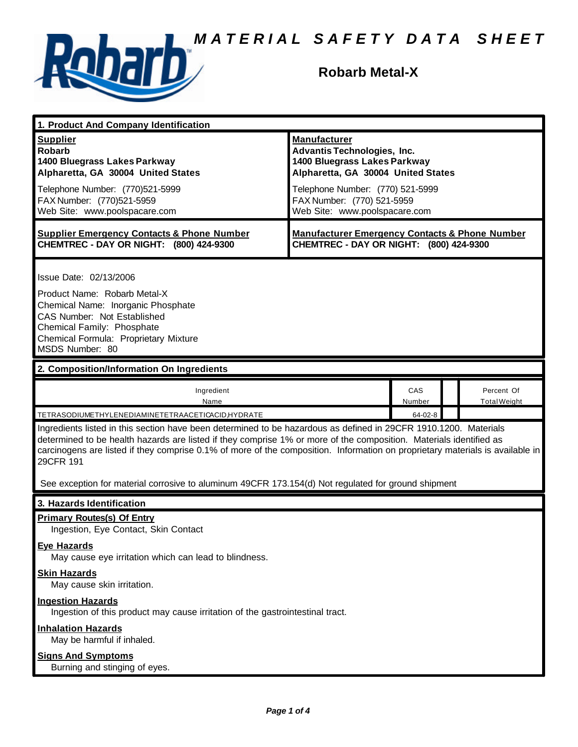

### **Robarb Metal-X**

| 1. Product And Company Identification                                                                                                                                                                                                                                                                                                                                                |                                                                                                                                                                                                                                    |                          |  |                                   |
|--------------------------------------------------------------------------------------------------------------------------------------------------------------------------------------------------------------------------------------------------------------------------------------------------------------------------------------------------------------------------------------|------------------------------------------------------------------------------------------------------------------------------------------------------------------------------------------------------------------------------------|--------------------------|--|-----------------------------------|
| <b>Supplier</b><br><b>Robarb</b><br>1400 Bluegrass Lakes Parkway<br>Alpharetta, GA 30004 United States<br>Telephone Number: (770)521-5999<br>FAX Number: (770)521-5959<br>Web Site: www.poolspacare.com                                                                                                                                                                              | <b>Manufacturer</b><br><b>Advantis Technologies, Inc.</b><br>1400 Bluegrass Lakes Parkway<br>Alpharetta, GA 30004 United States<br>Telephone Number: (770) 521-5999<br>FAX Number: (770) 521-5959<br>Web Site: www.poolspacare.com |                          |  |                                   |
| <b>Supplier Emergency Contacts &amp; Phone Number</b><br>CHEMTREC - DAY OR NIGHT: (800) 424-9300                                                                                                                                                                                                                                                                                     | <b>Manufacturer Emergency Contacts &amp; Phone Number</b><br>CHEMTREC - DAY OR NIGHT: (800) 424-9300                                                                                                                               |                          |  |                                   |
| Issue Date: 02/13/2006<br>Product Name: Robarb Metal-X<br>Chemical Name: Inorganic Phosphate<br>CAS Number: Not Established<br>Chemical Family: Phosphate<br>Chemical Formula: Proprietary Mixture<br>MSDS Number: 80                                                                                                                                                                |                                                                                                                                                                                                                                    |                          |  |                                   |
| 2. Composition/Information On Ingredients                                                                                                                                                                                                                                                                                                                                            |                                                                                                                                                                                                                                    |                          |  |                                   |
| Ingredient<br>Name<br>TETRASODIUMETHYLENEDIAMINETETRAACETICACID,HYDRATE                                                                                                                                                                                                                                                                                                              |                                                                                                                                                                                                                                    | CAS<br>Number<br>64-02-8 |  | Percent Of<br><b>Total Weight</b> |
| Ingredients listed in this section have been determined to be hazardous as defined in 29CFR 1910.1200. Materials<br>determined to be health hazards are listed if they comprise 1% or more of the composition. Materials identified as<br>carcinogens are listed if they comprise 0.1% of more of the composition. Information on proprietary materials is available in<br>29CFR 191 |                                                                                                                                                                                                                                    |                          |  |                                   |
| See exception for material corrosive to aluminum 49CFR 173.154(d) Not regulated for ground shipment                                                                                                                                                                                                                                                                                  |                                                                                                                                                                                                                                    |                          |  |                                   |
| 3. Hazards Identification                                                                                                                                                                                                                                                                                                                                                            |                                                                                                                                                                                                                                    |                          |  |                                   |
| <b>Primary Routes(s) Of Entry</b><br>Ingestion, Eye Contact, Skin Contact<br><b>Eye Hazards</b>                                                                                                                                                                                                                                                                                      |                                                                                                                                                                                                                                    |                          |  |                                   |
| May cause eye irritation which can lead to blindness.                                                                                                                                                                                                                                                                                                                                |                                                                                                                                                                                                                                    |                          |  |                                   |
| <b>Skin Hazards</b><br>May cause skin irritation.                                                                                                                                                                                                                                                                                                                                    |                                                                                                                                                                                                                                    |                          |  |                                   |
| <b>Ingestion Hazards</b><br>Ingestion of this product may cause irritation of the gastrointestinal tract.                                                                                                                                                                                                                                                                            |                                                                                                                                                                                                                                    |                          |  |                                   |
| <b>Inhalation Hazards</b><br>May be harmful if inhaled.                                                                                                                                                                                                                                                                                                                              |                                                                                                                                                                                                                                    |                          |  |                                   |
| <b>Signs And Symptoms</b><br>Burning and stinging of eyes.                                                                                                                                                                                                                                                                                                                           |                                                                                                                                                                                                                                    |                          |  |                                   |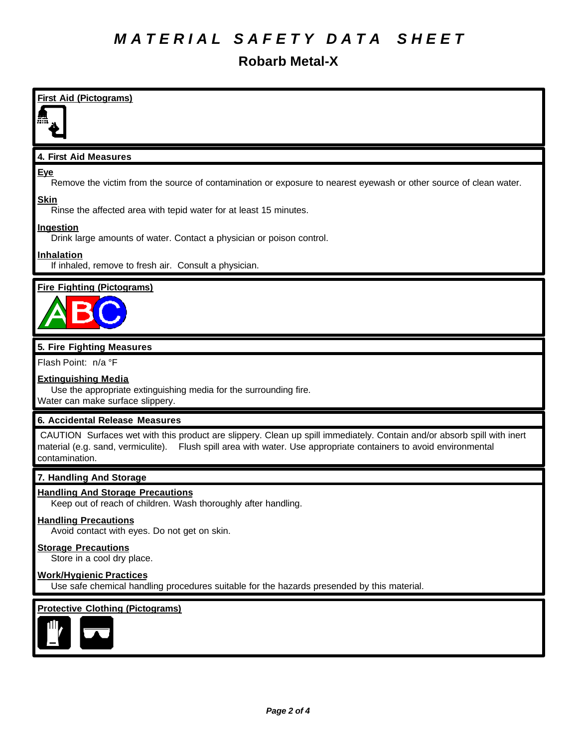## *M A T E R I A L S A F E T Y D A T A S H E E T*

**Robarb Metal-X**

**First Aid (Pictograms) 4. First Aid Measures** Remove the victim from the source of contamination or exposure to nearest eyewash or other source of clean water. **Skin**

Rinse the affected area with tepid water for at least 15 minutes.

#### **Ingestion**

**Eye**

Drink large amounts of water. Contact a physician or poison control.

#### **Inhalation**

If inhaled, remove to fresh air. Consult a physician.

#### **Fire Fighting (Pictograms)**



#### **5. Fire Fighting Measures**

Flash Point: n/a °F

#### **Extinguishing Media**

Use the appropriate extinguishing media for the surrounding fire. Water can make surface slippery.

#### **6. Accidental Release Measures**

 CAUTION Surfaces wet with this product are slippery. Clean up spill immediately. Contain and/or absorb spill with inert material (e.g. sand, vermiculite). Flush spill area with water. Use appropriate containers to avoid environmental contamination.

#### **7. Handling And Storage**

#### **Handling And Storage Precautions**

Keep out of reach of children. Wash thoroughly after handling.

#### **Handling Precautions**

Avoid contact with eyes. Do not get on skin.

#### **Storage Precautions**

Store in a cool dry place.

#### **Work/Hygienic Practices**

Use safe chemical handling procedures suitable for the hazards presended by this material.

#### **Protective Clothing (Pictograms)**

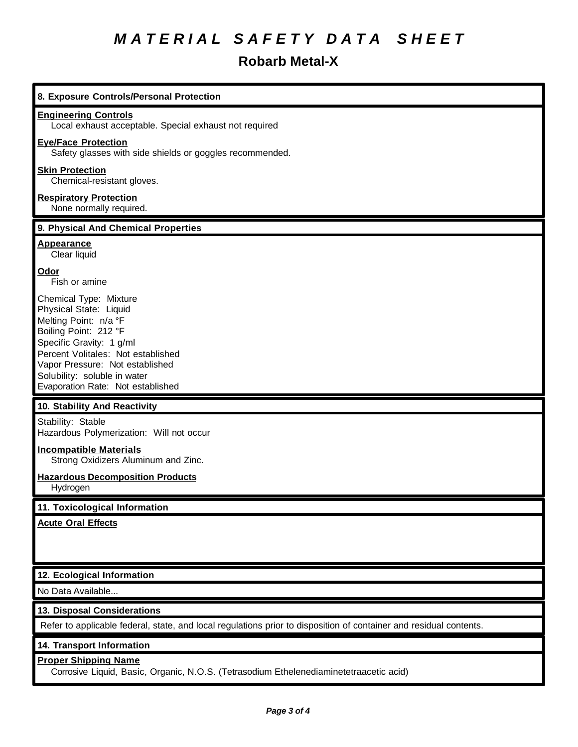# *M A T E R I A L S A F E T Y D A T A S H E E T*

## **Robarb Metal-X**

| 8. Exposure Controls/Personal Protection                                                                                                                                                                                                                                     |
|------------------------------------------------------------------------------------------------------------------------------------------------------------------------------------------------------------------------------------------------------------------------------|
| <b>Engineering Controls</b><br>Local exhaust acceptable. Special exhaust not required                                                                                                                                                                                        |
| <b>Eye/Face Protection</b><br>Safety glasses with side shields or goggles recommended.                                                                                                                                                                                       |
| <b>Skin Protection</b><br>Chemical-resistant gloves.                                                                                                                                                                                                                         |
| <b>Respiratory Protection</b><br>None normally required.                                                                                                                                                                                                                     |
| 9. Physical And Chemical Properties                                                                                                                                                                                                                                          |
| <b>Appearance</b><br>Clear liquid                                                                                                                                                                                                                                            |
| Odor<br>Fish or amine                                                                                                                                                                                                                                                        |
| Chemical Type: Mixture<br>Physical State: Liquid<br>Melting Point: n/a °F<br>Boiling Point: 212 °F<br>Specific Gravity: 1 g/ml<br>Percent Volitales: Not established<br>Vapor Pressure: Not established<br>Solubility: soluble in water<br>Evaporation Rate: Not established |
| 10. Stability And Reactivity                                                                                                                                                                                                                                                 |
| Stability: Stable<br>Hazardous Polymerization: Will not occur                                                                                                                                                                                                                |
| <b>Incompatible Materials</b><br>Strong Oxidizers Aluminum and Zinc.                                                                                                                                                                                                         |
| <b>Hazardous Decomposition Products</b><br>Hydrogen                                                                                                                                                                                                                          |
| 11. Toxicological Information                                                                                                                                                                                                                                                |
| <b>Acute Oral Effects</b>                                                                                                                                                                                                                                                    |
| 12. Ecological Information                                                                                                                                                                                                                                                   |
| No Data Available                                                                                                                                                                                                                                                            |
| 13. Disposal Considerations                                                                                                                                                                                                                                                  |
| Refer to applicable federal, state, and local regulations prior to disposition of container and residual contents.                                                                                                                                                           |
| 14. Transport Information                                                                                                                                                                                                                                                    |
| <b>Proper Shipping Name</b><br>Corrosive Liquid, Basic, Organic, N.O.S. (Tetrasodium Ethelenediaminetetraacetic acid)                                                                                                                                                        |